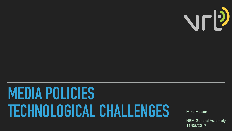# **MEDIA POLICIES**  TECHNOLOGICAL CHALLENGES Mike Matton



NEM General Assembly 11/05/2017



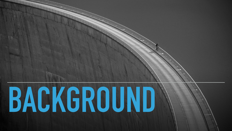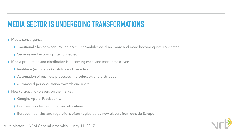- ▸ Media convergence
	- ▸ Traditional silos between TV/Radio/On-line/mobile/social are more and more becoming interconnected
	- ▶ Services are becoming interconnected
- ▸ Media production and distribution is becoming more and more data driven
	- ▶ Real-time (actionable) analytics and metadata
	- ▸ Automation of business processes in production and distribution
	- ▶ Automated personalisation towards end users
- ▶ New (disrupting) players on the market
	- ▸ Google, Apple, Facebook, …
	- ▶ European content is monetized elsewhere
	- ▶ European policies and regulations often neglected by new players from outside Europe

#### Mike Matton ~ NEM General Assembly ~ May 11, 2017



### **MEDIA SECTOR IS UNDERGOING TRANSFORMATIONS**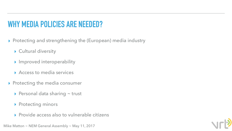#### **WHY MEDIA POLICIES ARE NEEDED?**

- ▸ Protecting and strengthening the (European) media industry
	- ▸ Cultural diversity
	- ▸ Improved interoperability
	- ▸ Access to media services
- ▶ Protecting the media consumer
	- ▶ Personal data sharing ~ trust
	- ▶ Protecting minors
	- ▸ Provide access also to vulnerable citizens

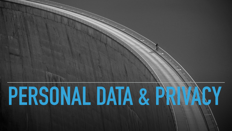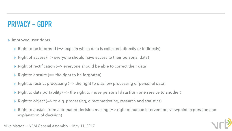#### **PRIVACY - GDPR**

- ▸ Improved user rights
	- ▸ Right to be informed (=> explain which data is collected, directly or indirectly)
	- ▸ Right of access (=> everyone should have access to their personal data)
	- ▸ Right of rectification (=> everyone should be able to correct their data)
	- ▸ Right to erasure (=> the right to be **forgotten**)
	- ▸ Right to restrict processing (=> the right to disallow processing of personal data)
	- ▸ Right to data portability (=> the right to **move personal data from one service to another**)
	- ▶ Right to object (=> to e.g. processing, direct marketing, research and statistics)
	- ▸ Right to abstain from automated decision making (=> right of human intervention, viewpoint expression and explanation of decision)

Mike Matton  $\sim$  NEM General Assembly  $\sim$  May 11, 2017



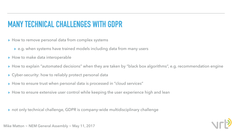- ▸ How to remove personal data from complex systems
	- ▸ e.g. when systems have trained models including data from many users
- ▸ How to make data interoperable
- 
- ▶ Cyber-security: how to reliably protect personal data
- ▸ How to ensure trust when personal data is processed in "cloud services"
- ▶ How to ensure extensive user control while keeping the user experience high and lean

### **MANY TECHNICAL CHALLENGES WITH GDPR**

▸ How to explain "automated decisions" when they are taken by "black box algorithms", e.g. recommendation engine





▸ not only technical challenge, GDPR is company-wide multidisciplinary challenge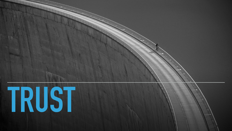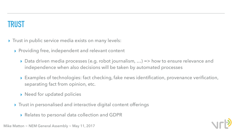#### **TRUST**

- ▸ Trust in public service media exists on many levels:
	- ▶ Providing free, independent and relevant content
		- ▸ Data driven media processes (e.g. robot journalism, …) => how to ensure relevance and independence when also decisions will be taken by automated processes
		- ▸ Examples of technologies: fact checking, fake news identification, provenance verification, separating fact from opinion, etc.
		- ▸ Need for updated policies
	- ▸ Trust in personalised and interactive digital content offerings
		- ▸ Relates to personal data collection and GDPR

Mike Matton  $\sim$  NEM General Assembly  $\sim$  May 11, 2017

![](_page_8_Picture_10.jpeg)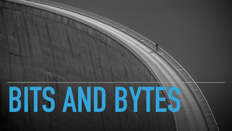![](_page_9_Picture_0.jpeg)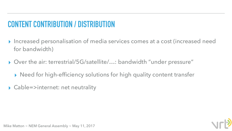## **CONTENT CONTRIBUTION / DISTRIBUTION**

#### ▸ Increased personalisation of media services comes at a cost (increased need

![](_page_10_Picture_7.jpeg)

![](_page_10_Picture_8.jpeg)

- for bandwidth)
- ▸ Over the air: terrestrial/5G/satellite/…: bandwidth "under pressure"
	- ▸ Need for high-efficiency solutions for high quality content transfer
- ▸ Cable=>internet: net neutrality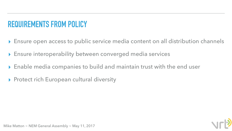#### **REQUIREMENTS FROM POLICY**

- ▸ Ensure open access to public service media content on all distribution channels
- ▸ Ensure interoperability between converged media services
- ▸ Enable media companies to build and maintain trust with the end user
- ▸ Protect rich European cultural diversity

![](_page_11_Picture_6.jpeg)

![](_page_11_Picture_7.jpeg)